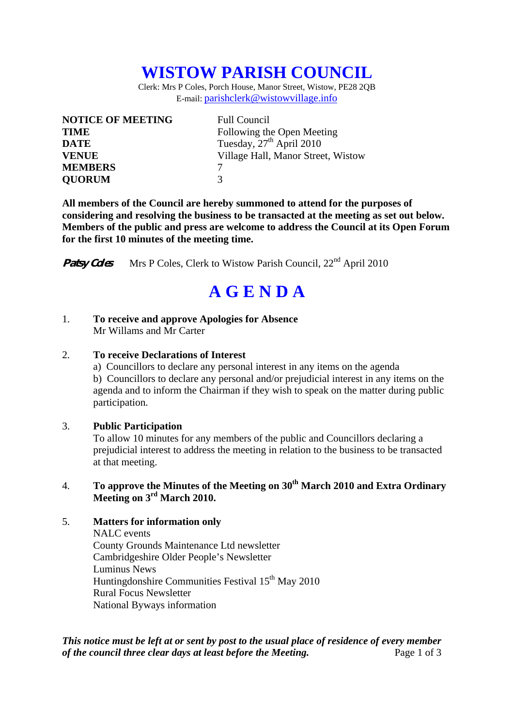## **WISTOW PARISH COUNCIL**

Clerk: Mrs P Coles, Porch House, Manor Street, Wistow, PE28 2QB E-mail: parishclerk@wistowvillage.info

| <b>NOTICE OF MEETING</b> | <b>Full Council</b>                  |
|--------------------------|--------------------------------------|
| <b>TIME</b>              | Following the Open Meeting           |
| <b>DATE</b>              | Tuesday, 27 <sup>th</sup> April 2010 |
| <b>VENUE</b>             | Village Hall, Manor Street, Wistow   |
| <b>MEMBERS</b>           |                                      |
| <b>QUORUM</b>            | 3                                    |

**All members of the Council are hereby summoned to attend for the purposes of considering and resolving the business to be transacted at the meeting as set out below. Members of the public and press are welcome to address the Council at its Open Forum for the first 10 minutes of the meeting time.** 

**Patsy Coles** Mrs P Coles, Clerk to Wistow Parish Council, 22<sup>nd</sup> April 2010

# **A G E N D A**

#### 1. **To receive and approve Apologies for Absence**  Mr Willams and Mr Carter

#### 2. **To receive Declarations of Interest**

 a) Councillors to declare any personal interest in any items on the agenda b) Councillors to declare any personal and/or prejudicial interest in any items on the agenda and to inform the Chairman if they wish to speak on the matter during public participation.

#### 3. **Public Participation**

To allow 10 minutes for any members of the public and Councillors declaring a prejudicial interest to address the meeting in relation to the business to be transacted at that meeting.

### 4. **To approve the Minutes of the Meeting on 30th March 2010 and Extra Ordinary Meeting on 3rd March 2010.**

### 5. **Matters for information only**

NALC events County Grounds Maintenance Ltd newsletter Cambridgeshire Older People's Newsletter Luminus News Huntingdonshire Communities Festival 15<sup>th</sup> May 2010 Rural Focus Newsletter National Byways information

*This notice must be left at or sent by post to the usual place of residence of every member of the council three clear days at least before the Meeting.* Page 1 of 3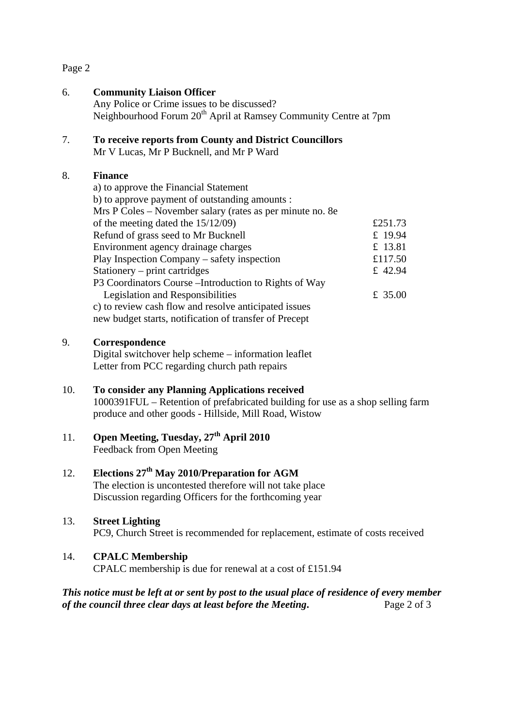Page 2

## 6. **Community Liaison Officer** Any Police or Crime issues to be discussed? Neighbourhood Forum 20<sup>th</sup> April at Ramsey Community Centre at 7pm 7. **To receive reports from County and District Councillors**

Mr V Lucas, Mr P Bucknell, and Mr P Ward

#### 8. **Finance**

| a) to approve the Financial Statement                     |         |
|-----------------------------------------------------------|---------|
| b) to approve payment of outstanding amounts :            |         |
| Mrs P Coles – November salary (rates as per minute no. 8e |         |
| of the meeting dated the $15/12/09$ )                     | £251.73 |
| Refund of grass seed to Mr Bucknell                       | £ 19.94 |
| Environment agency drainage charges                       | £ 13.81 |
| Play Inspection Company – safety inspection               | £117.50 |
| Stationery – print cartridges                             | £ 42.94 |
| P3 Coordinators Course – Introduction to Rights of Way    |         |
| Legislation and Responsibilities                          | £ 35.00 |
| c) to review cash flow and resolve anticipated issues     |         |
| new budget starts, notification of transfer of Precept    |         |

#### 9. **Correspondence**

Digital switchover help scheme – information leaflet Letter from PCC regarding church path repairs

## 10. **To consider any Planning Applications received**

1000391FUL – Retention of prefabricated building for use as a shop selling farm produce and other goods - Hillside, Mill Road, Wistow

## 11. **Open Meeting, Tuesday, 27th April 2010** Feedback from Open Meeting

## 12. **Elections 27th May 2010/Preparation for AGM**

The election is uncontested therefore will not take place Discussion regarding Officers for the forthcoming year

### 13. **Street Lighting**

PC9, Church Street is recommended for replacement, estimate of costs received

### 14. **CPALC Membership**

CPALC membership is due for renewal at a cost of £151.94

### *This notice must be left at or sent by post to the usual place of residence of every member of the council three clear days at least before the Meeting***.** Page 2 of 3